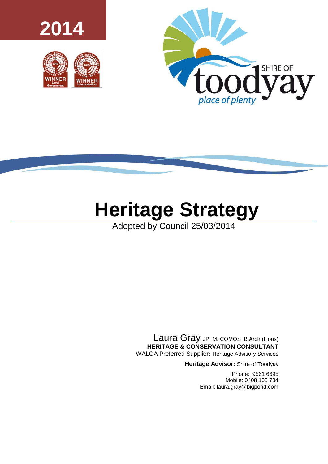





# **Heritage Strategy**

Adopted by Council 25/03/2014

Laura Gray JP M.ICOMOS B.Arch (Hons) **HERITAGE & CONSERVATION CONSULTANT** WALGA Preferred Supplier**:** Heritage Advisory Services

**Heritage Advisor:** Shire of Toodyay

Phone: 9561 6695 Mobile: 0408 105 784 Email: laura.gray@bigpond.com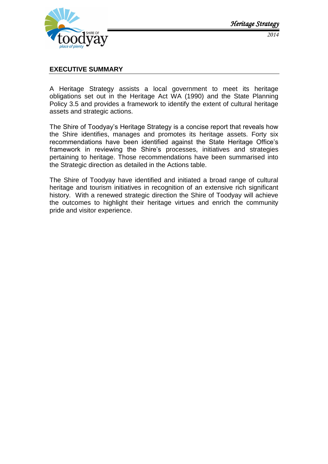

### <span id="page-1-0"></span>**EXECUTIVE SUMMARY**

A Heritage Strategy assists a local government to meet its heritage obligations set out in the Heritage Act WA (1990) and the State Planning Policy 3.5 and provides a framework to identify the extent of cultural heritage assets and strategic actions.

The Shire of Toodyay's Heritage Strategy is a concise report that reveals how the Shire identifies, manages and promotes its heritage assets. Forty six recommendations have been identified against the State Heritage Office's framework in reviewing the Shire's processes, initiatives and strategies pertaining to heritage. Those recommendations have been summarised into the Strategic direction as detailed in the Actions table.

The Shire of Toodyay have identified and initiated a broad range of cultural heritage and tourism initiatives in recognition of an extensive rich significant history. With a renewed strategic direction the Shire of Toodyay will achieve the outcomes to highlight their heritage virtues and enrich the community pride and visitor experience.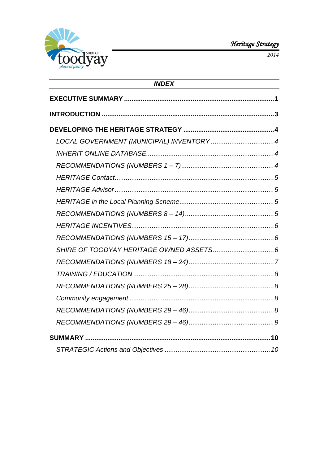

2014

| <b>INDEX</b> |  |  |  |  |
|--------------|--|--|--|--|
|              |  |  |  |  |
|              |  |  |  |  |
|              |  |  |  |  |
|              |  |  |  |  |
|              |  |  |  |  |
|              |  |  |  |  |
|              |  |  |  |  |
|              |  |  |  |  |
|              |  |  |  |  |
|              |  |  |  |  |
|              |  |  |  |  |
|              |  |  |  |  |
|              |  |  |  |  |
|              |  |  |  |  |
|              |  |  |  |  |
|              |  |  |  |  |
|              |  |  |  |  |
|              |  |  |  |  |
|              |  |  |  |  |
|              |  |  |  |  |
|              |  |  |  |  |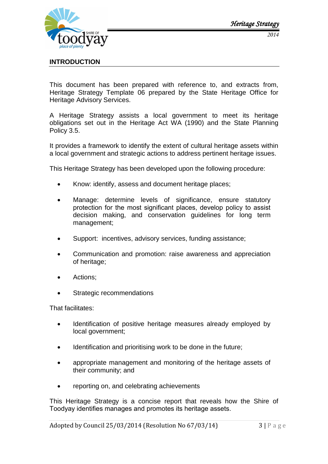

# <span id="page-3-0"></span>**INTRODUCTION**

This document has been prepared with reference to, and extracts from, Heritage Strategy Template 06 prepared by the State Heritage Office for Heritage Advisory Services.

A Heritage Strategy assists a local government to meet its heritage obligations set out in the Heritage Act WA (1990) and the State Planning Policy 3.5.

It provides a framework to identify the extent of cultural heritage assets within a local government and strategic actions to address pertinent heritage issues.

This Heritage Strategy has been developed upon the following procedure:

- Know: identify, assess and document heritage places;
- Manage: determine levels of significance, ensure statutory protection for the most significant places, develop policy to assist decision making, and conservation guidelines for long term management;
- Support: incentives, advisory services, funding assistance;
- Communication and promotion: raise awareness and appreciation of heritage;
- Actions;
- Strategic recommendations

That facilitates:

- Identification of positive heritage measures already employed by local government;
- Identification and prioritising work to be done in the future;
- appropriate management and monitoring of the heritage assets of their community; and
- reporting on, and celebrating achievements

This Heritage Strategy is a concise report that reveals how the Shire of Toodyay identifies manages and promotes its heritage assets.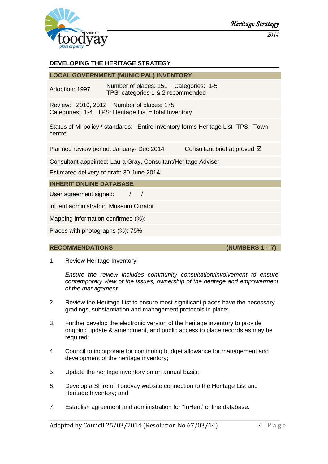

# <span id="page-4-0"></span>**DEVELOPING THE HERITAGE STRATEGY**

## <span id="page-4-1"></span>**LOCAL GOVERNMENT (MUNICIPAL) INVENTORY**

Adoption: 1997 Number of places: 151 Categories: 1-5 TPS: categories 1 & 2 recommended

Review: 2010, 2012 Number of places: 175 Categories: 1-4 TPS: Heritage List = total Inventory

Status of MI policy / standards: Entire Inventory forms Heritage List- TPS. Town centre

Planned review period: January- Dec 2014 Consultant brief approved **Ø** 

Consultant appointed: Laura Gray, Consultant/Heritage Adviser

Estimated delivery of draft: 30 June 2014

<span id="page-4-2"></span>**INHERIT ONLINE DATABASE**

User agreement signed: / /

inHerit administrator: Museum Curator

Mapping information confirmed (%):

Places with photographs (%): 75%

#### <span id="page-4-3"></span>**RECOMMENDATIONS (NUMBERS 1 – 7)**

1. Review Heritage Inventory:

*Ensure the review includes community consultation/involvement to ensure contemporary view of the issues, ownership of the heritage and empowerment of the management.*

- 2. Review the Heritage List to ensure most significant places have the necessary gradings, substantiation and management protocols in place;
- 3. Further develop the electronic version of the heritage inventory to provide ongoing update & amendment, and public access to place records as may be required;
- 4. Council to incorporate for continuing budget allowance for management and development of the heritage inventory;
- 5. Update the heritage inventory on an annual basis;
- 6. Develop a Shire of Toodyay website connection to the Heritage List and Heritage Inventory; and
- 7. Establish agreement and administration for "InHerit' online database.

Adopted by Council 25/03/2014 (Resolution No 67/03/14)  $\begin{array}{c} 4 \mid P \text{ a g e} \end{array}$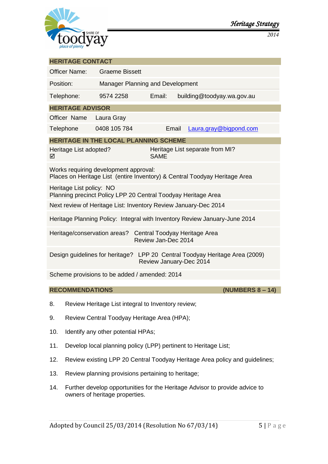

<span id="page-5-2"></span><span id="page-5-1"></span><span id="page-5-0"></span>

| <b>HERITAGE CONTACT</b>                                                                                             |                                  |             |  |                                 |                        |  |
|---------------------------------------------------------------------------------------------------------------------|----------------------------------|-------------|--|---------------------------------|------------------------|--|
| <b>Officer Name:</b>                                                                                                | <b>Graeme Bissett</b>            |             |  |                                 |                        |  |
| Position:                                                                                                           | Manager Planning and Development |             |  |                                 |                        |  |
| Telephone:                                                                                                          | 9574 2258                        | Email:      |  | building@toodyay.wa.gov.au      |                        |  |
| <b>HERITAGE ADVISOR</b>                                                                                             |                                  |             |  |                                 |                        |  |
| Officer Name Laura Gray                                                                                             |                                  |             |  |                                 |                        |  |
| Telephone                                                                                                           | 0408 105 784                     | Email       |  |                                 | Laura.gray@bigpond.com |  |
| <b>HERITAGE IN THE LOCAL PLANNING SCHEME</b>                                                                        |                                  |             |  |                                 |                        |  |
| Heritage List adopted?<br>☑                                                                                         |                                  | <b>SAME</b> |  | Heritage List separate from MI? |                        |  |
| Works requiring development approval:<br>Places on Heritage List (entire Inventory) & Central Toodyay Heritage Area |                                  |             |  |                                 |                        |  |
| Heritage List policy: NO<br>Planning precinct Policy LPP 20 Central Toodyay Heritage Area                           |                                  |             |  |                                 |                        |  |
| Next review of Heritage List: Inventory Review January-Dec 2014                                                     |                                  |             |  |                                 |                        |  |
| Heritage Planning Policy: Integral with Inventory Review January-June 2014                                          |                                  |             |  |                                 |                        |  |
| Heritage/conservation areas?<br>Central Toodyay Heritage Area<br>Review Jan-Dec 2014                                |                                  |             |  |                                 |                        |  |
| Design guidelines for heritage? LPP 20 Central Toodyay Heritage Area (2009)<br>Review January-Dec 2014              |                                  |             |  |                                 |                        |  |
| Scheme provisions to be added / amended: 2014                                                                       |                                  |             |  |                                 |                        |  |
| <b>RECOMMENDATIONS</b><br>(NUMBERS 8 - 14)                                                                          |                                  |             |  |                                 |                        |  |

- <span id="page-5-3"></span>8. Review Heritage List integral to Inventory review;
- 9. Review Central Toodyay Heritage Area (HPA);
- 10. Identify any other potential HPAs;
- 11. Develop local planning policy (LPP) pertinent to Heritage List;
- 12. Review existing LPP 20 Central Toodyay Heritage Area policy and guidelines;
- 13. Review planning provisions pertaining to heritage;
- 14. Further develop opportunities for the Heritage Advisor to provide advice to owners of heritage properties.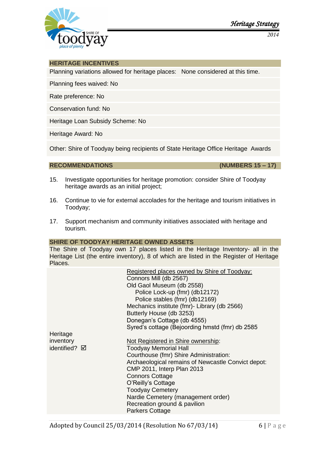

*2014*

#### <span id="page-6-0"></span>**HERITAGE INCENTIVES**

Planning variations allowed for heritage places: None considered at this time.

Planning fees waived: No

Rate preference: No

Conservation fund: No

Heritage Loan Subsidy Scheme: No

Heritage Award: No

Other: Shire of Toodyay being recipients of State Heritage Office Heritage Awards

<span id="page-6-1"></span>**RECOMMENDATIONS (NUMBERS 15 – 17)**

- 15. Investigate opportunities for heritage promotion: consider Shire of Toodyay heritage awards as an initial project;
- 16. Continue to vie for external accolades for the heritage and tourism initiatives in Toodyay;
- 17. Support mechanism and community initiatives associated with heritage and tourism.

#### <span id="page-6-2"></span>**SHIRE OF TOODYAY HERITAGE OWNED ASSETS**

The Shire of Toodyay own 17 places listed in the Heritage Inventory- all in the Heritage List (the entire inventory), 8 of which are listed in the Register of Heritage Places.

|               |                        | Registered places owned by Shire of Toodyay:       |  |  |  |  |
|---------------|------------------------|----------------------------------------------------|--|--|--|--|
|               | Connors Mill (db 2567) |                                                    |  |  |  |  |
|               |                        | Old Gaol Museum (db 2558)                          |  |  |  |  |
|               |                        | Police Lock-up (fmr) (db12172)                     |  |  |  |  |
|               |                        | Police stables (fmr) (db12169)                     |  |  |  |  |
|               |                        | Mechanics institute (fmr)- Library (db 2566)       |  |  |  |  |
|               |                        | Butterly House (db 3253)                           |  |  |  |  |
|               |                        | Donegan's Cottage (db 4555)                        |  |  |  |  |
|               |                        | Syred's cottage (Bejoording hmstd (fmr) db 2585    |  |  |  |  |
| Heritage      |                        |                                                    |  |  |  |  |
| inventory     |                        | Not Registered in Shire ownership:                 |  |  |  |  |
| identified? ☑ |                        | <b>Toodyay Memorial Hall</b>                       |  |  |  |  |
|               |                        | Courthouse (fmr) Shire Administration:             |  |  |  |  |
|               |                        | Archaeological remains of Newcastle Convict depot: |  |  |  |  |
|               |                        | <b>CMP 2011, Interp Plan 2013</b>                  |  |  |  |  |
|               |                        | <b>Connors Cottage</b>                             |  |  |  |  |
|               |                        | O'Reilly's Cottage                                 |  |  |  |  |
|               |                        | <b>Toodyay Cemetery</b>                            |  |  |  |  |
|               |                        | Nardie Cemetery (management order)                 |  |  |  |  |
|               |                        | Recreation ground & pavilion                       |  |  |  |  |
|               |                        | <b>Parkers Cottage</b>                             |  |  |  |  |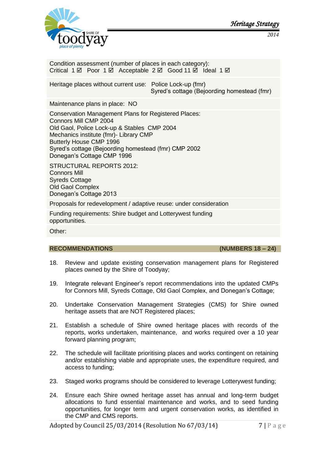

*Heritage Strategy* 

*2014*

Condition assessment (number of places in each category): Critical  $1 \boxtimes$  Poor  $1 \boxtimes$  Acceptable  $2 \boxtimes$  Good  $11 \boxtimes$  Ideal  $1 \boxtimes$ 

Heritage places without current use: Police Lock-up (fmr) Syred's cottage (Bejoording homestead (fmr)

Maintenance plans in place: NO

Conservation Management Plans for Registered Places: Connors Mill CMP 2004 Old Gaol, Police Lock-up & Stables CMP 2004 Mechanics institute (fmr)- Library CMP Butterly House CMP 1996 Syred's cottage (Bejoording homestead (fmr) CMP 2002 Donegan's Cottage CMP 1996

STRUCTURAL REPORTS 2012: Connors Mill Syreds Cottage Old Gaol Complex Donegan's Cottage 2013

Proposals for redevelopment / adaptive reuse: under consideration

Funding requirements: Shire budget and Lotterywest funding opportunities.

Other:

#### <span id="page-7-0"></span>**RECOMMENDATIONS (NUMBERS 18 – 24)**

- 18. Review and update existing conservation management plans for Registered places owned by the Shire of Toodyay;
- 19. Integrate relevant Engineer's report recommendations into the updated CMPs for Connors Mill, Syreds Cottage, Old Gaol Complex, and Donegan's Cottage;
- 20. Undertake Conservation Management Strategies (CMS) for Shire owned heritage assets that are NOT Registered places;
- 21. Establish a schedule of Shire owned heritage places with records of the reports, works undertaken, maintenance, and works required over a 10 year forward planning program;
- 22. The schedule will facilitate prioritising places and works contingent on retaining and/or establishing viable and appropriate uses, the expenditure required, and access to funding;
- 23. Staged works programs should be considered to leverage Lotterywest funding;
- 24. Ensure each Shire owned heritage asset has annual and long-term budget allocations to fund essential maintenance and works, and to seed funding opportunities, for longer term and urgent conservation works, as identified in the CMP and CMS reports.

Adopted by Council 25/03/2014 (Resolution No 67/03/14)  $7 | P a g e$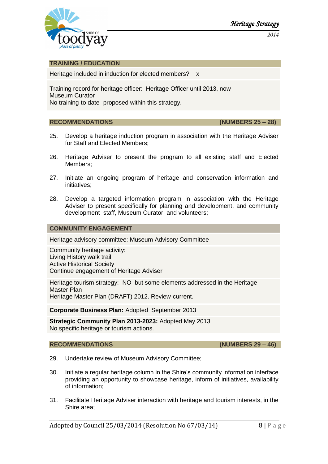

*2014*

#### <span id="page-8-0"></span>**TRAINING / EDUCATION**

Heritage included in induction for elected members? x

Training record for heritage officer: Heritage Officer until 2013, now Museum Curator No training-to date- proposed within this strategy.

#### <span id="page-8-1"></span>**RECOMMENDATIONS (NUMBERS 25 – 28)**

- 25. Develop a heritage induction program in association with the Heritage Adviser for Staff and Elected Members;
- 26. Heritage Adviser to present the program to all existing staff and Elected Members;
- 27. Initiate an ongoing program of heritage and conservation information and initiatives;
- 28. Develop a targeted information program in association with the Heritage Adviser to present specifically for planning and development, and community development staff, Museum Curator, and volunteers;

#### <span id="page-8-2"></span>**COMMUNITY ENGAGEMENT**

Heritage advisory committee: Museum Advisory Committee

Community heritage activity: Living History walk trail Active Historical Society Continue engagement of Heritage Adviser

Heritage tourism strategy: NO but some elements addressed in the Heritage Master Plan Heritage Master Plan (DRAFT) 2012. Review-current.

**Corporate Business Plan:** Adopted September 2013

**Strategic Community Plan 2013-2023:** Adopted May 2013 No specific heritage or tourism actions.

#### <span id="page-8-3"></span>**RECOMMENDATIONS (NUMBERS 29 – 46)**

- 29. Undertake review of Museum Advisory Committee;
- 30. Initiate a regular heritage column in the Shire's community information interface providing an opportunity to showcase heritage, inform of initiatives, availability of information;
- 31. Facilitate Heritage Adviser interaction with heritage and tourism interests, in the Shire area;

Adopted by Council 25/03/2014 (Resolution No 67/03/14) 8 | P a g e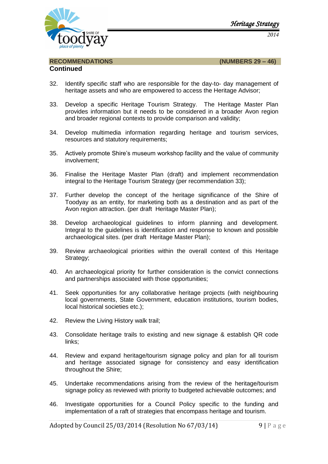

*Heritage Strategy 2014*

#### **Continued**

<span id="page-9-0"></span>**RECOMMENDATIONS (NUMBERS 29 – 46)**

- 32. Identify specific staff who are responsible for the day-to- day management of heritage assets and who are empowered to access the Heritage Advisor;
- 33. Develop a specific Heritage Tourism Strategy. The Heritage Master Plan provides information but it needs to be considered in a broader Avon region and broader regional contexts to provide comparison and validity;
- 34. Develop multimedia information regarding heritage and tourism services, resources and statutory requirements;
- 35. Actively promote Shire's museum workshop facility and the value of community involvement;
- 36. Finalise the Heritage Master Plan (draft) and implement recommendation integral to the Heritage Tourism Strategy (per recommendation 33);
- 37. Further develop the concept of the heritage significance of the Shire of Toodyay as an entity, for marketing both as a destination and as part of the Avon region attraction. (per draft Heritage Master Plan);
- 38. Develop archaeological guidelines to inform planning and development. Integral to the guidelines is identification and response to known and possible archaeological sites. (per draft Heritage Master Plan);
- 39. Review archaeological priorities within the overall context of this Heritage Strategy;
- 40. An archaeological priority for further consideration is the convict connections and partnerships associated with those opportunities;
- 41. Seek opportunities for any collaborative heritage projects (with neighbouring local governments, State Government, education institutions, tourism bodies, local historical societies etc.);
- 42. Review the Living History walk trail;
- 43. Consolidate heritage trails to existing and new signage & establish QR code links;
- 44. Review and expand heritage/tourism signage policy and plan for all tourism and heritage associated signage for consistency and easy identification throughout the Shire;
- 45. Undertake recommendations arising from the review of the heritage/tourism signage policy as reviewed with priority to budgeted achievable outcomes; and
- 46. Investigate opportunities for a Council Policy specific to the funding and implementation of a raft of strategies that encompass heritage and tourism.

Adopted by Council 25/03/2014 (Resolution No 67/03/14) 9 | P a g e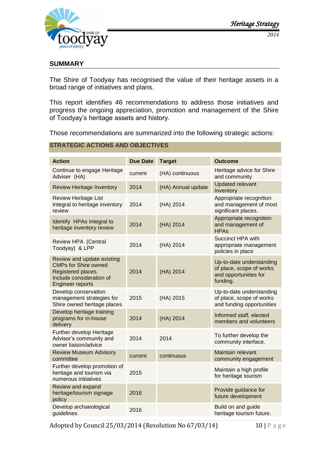

# <span id="page-10-0"></span>**SUMMARY**

The Shire of Toodyay has recognised the value of their heritage assets in a broad range of initiatives and plans.

This report identifies 46 recommendations to address those initiatives and progress the ongoing appreciation, promotion and management of the Shire of Toodyay's heritage assets and history.

Those recommendations are summarized into the following strategic actions:

#### <span id="page-10-1"></span>**STRATEGIC ACTIONS AND OBJECTIVES**

| <b>Action</b>                                                                                                                          | <b>Due Date</b> | <b>Target</b>      | <b>Outcome</b>                                                                            |
|----------------------------------------------------------------------------------------------------------------------------------------|-----------------|--------------------|-------------------------------------------------------------------------------------------|
| Continue to engage Heritage<br>Adviser (HA)                                                                                            | current         | (HA) continuous    | Heritage advice for Shire<br>and community                                                |
| <b>Review Heritage Inventory</b>                                                                                                       | 2014            | (HA) Annual update | <b>Updated relevant</b><br>Inventory                                                      |
| <b>Review Heritage List</b><br>Integral to heritage inventory<br>review                                                                | 2014            | (HA) 2014          | Appropriate recognition<br>and management of most<br>significant places.                  |
| Identify HPAs Integral to<br>heritage inventory review                                                                                 | 2014            | (HA) 2014          | Appropriate recognition<br>and management of<br><b>HPAs</b>                               |
| Review HPA (Central<br>Toodyay) & LPP                                                                                                  | 2014            | (HA) 2014          | Succinct HPA with<br>appropriate management<br>policies in place                          |
| Review and update existing<br><b>CMPs for Shire owned</b><br>Registered places.<br>Include consideration of<br><b>Engineer reports</b> | 2014            | (HA) 2014          | Up-to-date understanding<br>of place, scope of works<br>and opportunities for<br>funding. |
| Develop conservation<br>management strategies for<br>Shire owned heritage places                                                       | 2015            | (HA) 2015          | Up-to-date understanding<br>of place, scope of works<br>and funding opportunities         |
| Develop heritage training<br>programs for in-house<br>delivery                                                                         | 2014            | (HA) 2014          | Informed staff, elected<br>members and volunteers                                         |
| Further develop Heritage<br>Advisor's community and<br>owner liaison/advice                                                            | 2014            | 2014               | To further develop the<br>community interface.                                            |
| <b>Review Museum Advisory</b><br>committee                                                                                             | current         | continuous         | Maintain relevant<br>community engagement                                                 |
| Further develop promotion of<br>heritage and tourism via<br>numerous initiatives                                                       | 2015            |                    | Maintain a high profile<br>for heritage tourism                                           |
| Review and expand<br>heritage/tourism signage<br>policy                                                                                | 2016            |                    | Provide guidance for<br>future development                                                |
| Develop archaeological<br>guidelines                                                                                                   | 2016            |                    | Build on and guide<br>heritage tourism future.                                            |

Adopted by Council 25/03/2014 (Resolution No 67/03/14) 10 | P a g e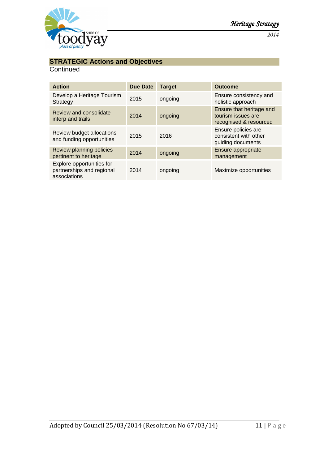

# **STRATEGIC Actions and Objectives**

# **Continued**

| <b>Action</b>                                                          | <b>Due Date</b> | <b>Target</b> | <b>Outcome</b>                                                           |
|------------------------------------------------------------------------|-----------------|---------------|--------------------------------------------------------------------------|
| Develop a Heritage Tourism<br>Strategy                                 | 2015            | ongoing       | Ensure consistency and<br>holistic approach                              |
| Review and consolidate<br>interp and trails                            | 2014            | ongoing       | Ensure that heritage and<br>tourism issues are<br>recognised & resourced |
| Review budget allocations<br>and funding opportunities                 | 2015            | 2016          | Ensure policies are<br>consistent with other<br>guiding documents        |
| Review planning policies<br>pertinent to heritage                      | 2014            | ongoing       | Ensure appropriate<br>management                                         |
| Explore opportunities for<br>partnerships and regional<br>associations | 2014            | ongoing       | Maximize opportunities                                                   |